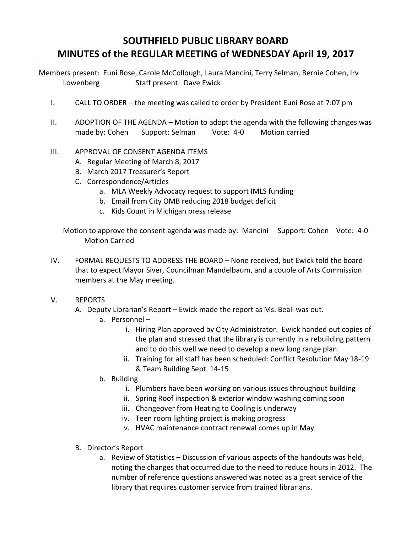## **SOUTHFIELD PUBLIC LIBRARY BOARD MINUTES of the REGULAR MEETING of WEDNESDAY April 19, 2017**

Members present: Euni Rose, Carole McCollough, Laura Mancini, Terry Selman, Bernie Cohen, Irv Lowenberg Staff present: Dave Ewick

- I. CALL TO ORDER the meeting was called to order by President Euni Rose at 7:07 pm
- II. ADOPTION OF THE AGENDA Motion to adopt the agenda with the following changes was made by: Cohen Support: Selman Vote: 4-0 Motion carried
- III. APPROVAL OF CONSENT AGENDA ITEMS
	- A. Regular Meeting of March 8, 2017
	- B. March 2017 Treasurer's Report
	- C. Correspondence/Articles
		- a. MLA Weekly Advocacy request to support IMLS funding
		- b. Email from City OMB reducing 2018 budget deficit
		- c. Kids Count in Michigan press release

Motion to approve the consent agenda was made by: Mancini Support: Cohen Vote: 4-0 Motion Carried

- IV. FORMAL REQUESTS TO ADDRESS THE BOARD None received, but Ewick told the board that to expect Mayor Siver, Councilman Mandelbaum, and a couple of Arts Commission members at the May meeting.
- V. REPORTS
	- A. Deputy Librarian's Report Ewick made the report as Ms. Beall was out.
		- a. Personnel
			- i. Hiring Plan approved by City Administrator. Ewick handed out copies of the plan and stressed that the library is currently in a rebuilding pattern and to do this well we need to develop a new long range plan.
			- ii. Training for all staff has been scheduled: Conflict Resolution May 18-19 & Team Building Sept. 14-15
		- b. Building
			- i. Plumbers have been working on various issues throughout building
			- ii. Spring Roof inspection & exterior window washing coming soon
			- iii. Changeover from Heating to Cooling is underway
			- iv. Teen room lighting project is making progress
			- v. HVAC maintenance contract renewal comes up in May
	- B. Director's Report
		- a. Review of Statistics Discussion of various aspects of the handouts was held, noting the changes that occurred due to the need to reduce hours in 2012. The number of reference questions answered was noted as a great service of the library that requires customer service from trained librarians.